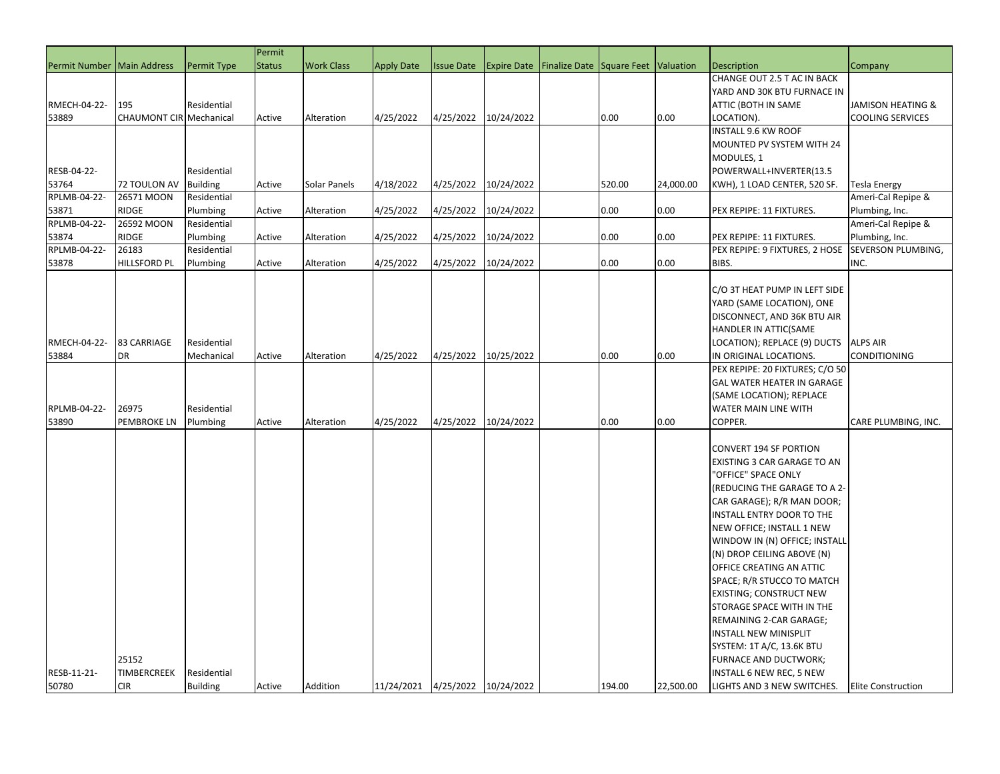|                              |                                |                 | Permit        |                   |                                 |                   |                    |                                     |        |           |                                 |                           |
|------------------------------|--------------------------------|-----------------|---------------|-------------------|---------------------------------|-------------------|--------------------|-------------------------------------|--------|-----------|---------------------------------|---------------------------|
| Permit Number   Main Address |                                | Permit Type     | <b>Status</b> | <b>Work Class</b> | <b>Apply Date</b>               | <b>Issue Date</b> | <b>Expire Date</b> | Finalize Date Square Feet Valuation |        |           | <b>Description</b>              | Company                   |
|                              |                                |                 |               |                   |                                 |                   |                    |                                     |        |           | CHANGE OUT 2.5 T AC IN BACK     |                           |
|                              |                                |                 |               |                   |                                 |                   |                    |                                     |        |           | YARD AND 30K BTU FURNACE IN     |                           |
| RMECH-04-22-                 | 195                            | Residential     |               |                   |                                 |                   |                    |                                     |        |           | ATTIC (BOTH IN SAME             | JAMISON HEATING &         |
| 53889                        | <b>CHAUMONT CIR Mechanical</b> |                 | Active        | Alteration        | 4/25/2022                       | 4/25/2022         | 10/24/2022         |                                     | 0.00   | 0.00      | LOCATION).                      | <b>COOLING SERVICES</b>   |
|                              |                                |                 |               |                   |                                 |                   |                    |                                     |        |           | <b>INSTALL 9.6 KW ROOF</b>      |                           |
|                              |                                |                 |               |                   |                                 |                   |                    |                                     |        |           | MOUNTED PV SYSTEM WITH 24       |                           |
|                              |                                |                 |               |                   |                                 |                   |                    |                                     |        |           | MODULES, 1                      |                           |
| RESB-04-22-                  |                                | Residential     |               |                   |                                 |                   |                    |                                     |        |           | POWERWALL+INVERTER(13.5         |                           |
| 53764                        | 72 TOULON AV                   | <b>Building</b> | Active        | Solar Panels      | 4/18/2022                       | 4/25/2022         | 10/24/2022         |                                     | 520.00 | 24,000.00 | KWH), 1 LOAD CENTER, 520 SF.    | Tesla Energy              |
| RPLMB-04-22-                 | 26571 MOON                     | Residential     |               |                   |                                 |                   |                    |                                     |        |           |                                 | Ameri-Cal Repipe &        |
| 53871                        | <b>RIDGE</b>                   | Plumbing        | Active        | Alteration        | 4/25/2022                       | 4/25/2022         | 10/24/2022         |                                     | 0.00   | 0.00      | PEX REPIPE: 11 FIXTURES.        | Plumbing, Inc.            |
| RPLMB-04-22-                 | 26592 MOON                     | Residential     |               |                   |                                 |                   |                    |                                     |        |           |                                 | Ameri-Cal Repipe &        |
| 53874                        | <b>RIDGE</b>                   | Plumbing        | Active        | Alteration        | 4/25/2022                       | 4/25/2022         | 10/24/2022         |                                     | 0.00   | 0.00      | PEX REPIPE: 11 FIXTURES.        | Plumbing, Inc.            |
| RPLMB-04-22-                 | 26183                          | Residential     |               |                   |                                 |                   |                    |                                     |        |           | PEX REPIPE: 9 FIXTURES, 2 HOSE  | SEVERSON PLUMBING,        |
| 53878                        | <b>HILLSFORD PL</b>            | Plumbing        | Active        | Alteration        | 4/25/2022                       | 4/25/2022         | 10/24/2022         |                                     | 0.00   | 0.00      | BIBS.                           | INC.                      |
|                              |                                |                 |               |                   |                                 |                   |                    |                                     |        |           |                                 |                           |
|                              |                                |                 |               |                   |                                 |                   |                    |                                     |        |           | C/O 3T HEAT PUMP IN LEFT SIDE   |                           |
|                              |                                |                 |               |                   |                                 |                   |                    |                                     |        |           | YARD (SAME LOCATION), ONE       |                           |
|                              |                                |                 |               |                   |                                 |                   |                    |                                     |        |           | DISCONNECT, AND 36K BTU AIR     |                           |
|                              |                                |                 |               |                   |                                 |                   |                    |                                     |        |           | HANDLER IN ATTIC(SAME           |                           |
| RMECH-04-22-                 | 83 CARRIAGE                    | Residential     |               |                   |                                 |                   |                    |                                     |        |           | LOCATION); REPLACE (9) DUCTS    | <b>ALPS AIR</b>           |
| 53884                        | DR                             | Mechanical      | Active        | Alteration        | 4/25/2022                       | 4/25/2022         | 10/25/2022         |                                     | 0.00   | 0.00      | IN ORIGINAL LOCATIONS.          | CONDITIONING              |
|                              |                                |                 |               |                   |                                 |                   |                    |                                     |        |           | PEX REPIPE: 20 FIXTURES; C/O 50 |                           |
|                              |                                |                 |               |                   |                                 |                   |                    |                                     |        |           | GAL WATER HEATER IN GARAGE      |                           |
|                              |                                |                 |               |                   |                                 |                   |                    |                                     |        |           | (SAME LOCATION); REPLACE        |                           |
| RPLMB-04-22-                 | 26975                          | Residential     |               |                   |                                 |                   |                    |                                     |        |           | WATER MAIN LINE WITH            |                           |
| 53890                        | PEMBROKE LN                    | Plumbing        | Active        | Alteration        | 4/25/2022                       | 4/25/2022         | 10/24/2022         |                                     | 0.00   | 0.00      | COPPER.                         | CARE PLUMBING, INC.       |
|                              |                                |                 |               |                   |                                 |                   |                    |                                     |        |           |                                 |                           |
|                              |                                |                 |               |                   |                                 |                   |                    |                                     |        |           | <b>CONVERT 194 SF PORTION</b>   |                           |
|                              |                                |                 |               |                   |                                 |                   |                    |                                     |        |           | EXISTING 3 CAR GARAGE TO AN     |                           |
|                              |                                |                 |               |                   |                                 |                   |                    |                                     |        |           | "OFFICE" SPACE ONLY             |                           |
|                              |                                |                 |               |                   |                                 |                   |                    |                                     |        |           | (REDUCING THE GARAGE TO A 2-    |                           |
|                              |                                |                 |               |                   |                                 |                   |                    |                                     |        |           | CAR GARAGE); R/R MAN DOOR;      |                           |
|                              |                                |                 |               |                   |                                 |                   |                    |                                     |        |           | INSTALL ENTRY DOOR TO THE       |                           |
|                              |                                |                 |               |                   |                                 |                   |                    |                                     |        |           | NEW OFFICE; INSTALL 1 NEW       |                           |
|                              |                                |                 |               |                   |                                 |                   |                    |                                     |        |           | WINDOW IN (N) OFFICE; INSTALL   |                           |
|                              |                                |                 |               |                   |                                 |                   |                    |                                     |        |           | (N) DROP CEILING ABOVE (N)      |                           |
|                              |                                |                 |               |                   |                                 |                   |                    |                                     |        |           | OFFICE CREATING AN ATTIC        |                           |
|                              |                                |                 |               |                   |                                 |                   |                    |                                     |        |           | SPACE; R/R STUCCO TO MATCH      |                           |
|                              |                                |                 |               |                   |                                 |                   |                    |                                     |        |           | <b>EXISTING; CONSTRUCT NEW</b>  |                           |
|                              |                                |                 |               |                   |                                 |                   |                    |                                     |        |           | STORAGE SPACE WITH IN THE       |                           |
|                              |                                |                 |               |                   |                                 |                   |                    |                                     |        |           | REMAINING 2-CAR GARAGE;         |                           |
|                              |                                |                 |               |                   |                                 |                   |                    |                                     |        |           | <b>INSTALL NEW MINISPLIT</b>    |                           |
|                              |                                |                 |               |                   |                                 |                   |                    |                                     |        |           | SYSTEM: 1T A/C, 13.6K BTU       |                           |
|                              | 25152                          |                 |               |                   |                                 |                   |                    |                                     |        |           | FURNACE AND DUCTWORK;           |                           |
| RESB-11-21-                  | TIMBERCREEK                    | Residential     |               |                   |                                 |                   |                    |                                     |        |           | INSTALL 6 NEW REC, 5 NEW        |                           |
| 50780                        | <b>CIR</b>                     | <b>Building</b> | Active        | Addition          | 11/24/2021 4/25/2022 10/24/2022 |                   |                    |                                     | 194.00 | 22,500.00 | LIGHTS AND 3 NEW SWITCHES.      | <b>Elite Construction</b> |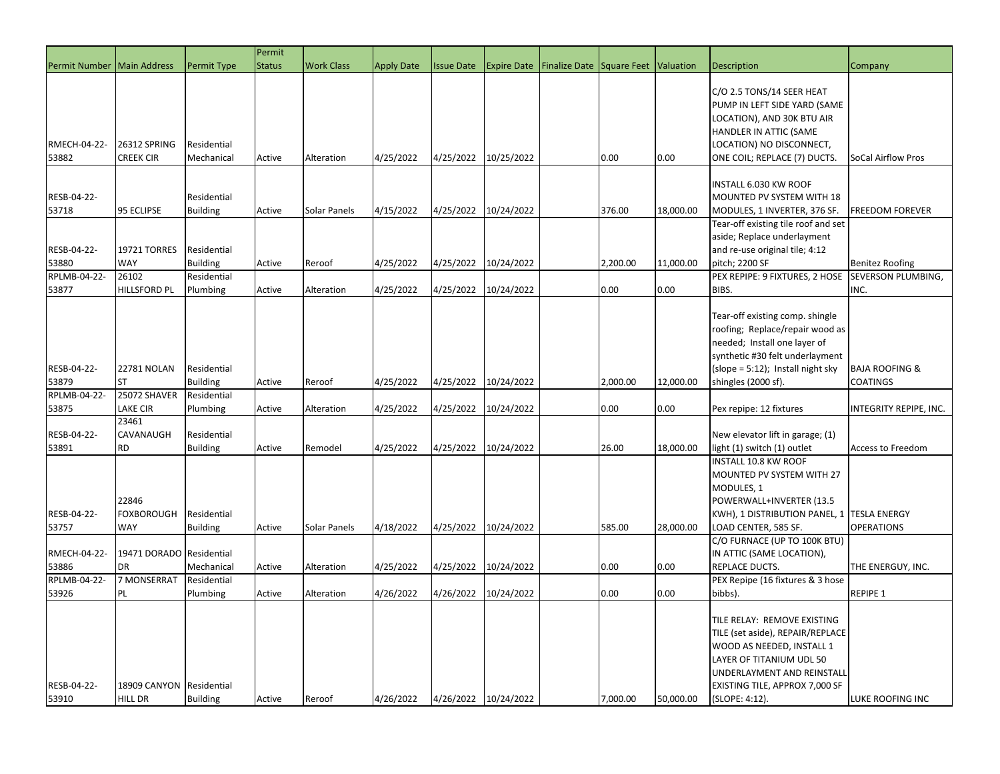|                                      |                                            |                                               | Permit        |                   |                   |                   |                      |                                                              |          |           |                                                                                                                                                                                                            |                                                     |
|--------------------------------------|--------------------------------------------|-----------------------------------------------|---------------|-------------------|-------------------|-------------------|----------------------|--------------------------------------------------------------|----------|-----------|------------------------------------------------------------------------------------------------------------------------------------------------------------------------------------------------------------|-----------------------------------------------------|
| Permit Number   Main Address         |                                            | Permit Type                                   | <b>Status</b> | <b>Work Class</b> | <b>Apply Date</b> | <b>Issue Date</b> |                      | <b>Expire Date   Finalize Date   Square Feet   Valuation</b> |          |           | <b>Description</b>                                                                                                                                                                                         | Company                                             |
| RMECH-04-22-                         | 26312 SPRING                               | Residential                                   |               |                   |                   |                   |                      |                                                              |          |           | C/O 2.5 TONS/14 SEER HEAT<br>PUMP IN LEFT SIDE YARD (SAME<br>LOCATION), AND 30K BTU AIR<br>HANDLER IN ATTIC (SAME<br>LOCATION) NO DISCONNECT,                                                              |                                                     |
| 53882                                | <b>CREEK CIR</b>                           | Mechanical                                    | Active        | Alteration        | 4/25/2022         | 4/25/2022         | 10/25/2022           |                                                              | 0.00     | 0.00      | ONE COIL; REPLACE (7) DUCTS.                                                                                                                                                                               | SoCal Airflow Pros                                  |
| RESB-04-22-<br>53718                 | 95 ECLIPSE                                 | Residential<br><b>Building</b>                | Active        | Solar Panels      | 4/15/2022         | 4/25/2022         | 10/24/2022           |                                                              | 376.00   | 18,000.00 | INSTALL 6.030 KW ROOF<br>MOUNTED PV SYSTEM WITH 18<br>MODULES, 1 INVERTER, 376 SF.<br>Tear-off existing tile roof and set                                                                                  | <b>FREEDOM FOREVER</b>                              |
| RESB-04-22-<br>53880<br>RPLMB-04-22- | <b>19721 TORRES</b><br><b>WAY</b><br>26102 | Residential<br><b>Building</b><br>Residential | Active        | Reroof            | 4/25/2022         | 4/25/2022         | 10/24/2022           |                                                              | 2,200.00 | 11,000.00 | aside; Replace underlayment<br>and re-use original tile; 4:12<br>pitch; 2200 SF<br>PEX REPIPE: 9 FIXTURES, 2 HOSE                                                                                          | <b>Benitez Roofing</b><br><b>SEVERSON PLUMBING,</b> |
| 53877<br>RESB-04-22-                 | <b>HILLSFORD PL</b><br><b>22781 NOLAN</b>  | Plumbing<br>Residential                       | Active        | Alteration        | 4/25/2022         | 4/25/2022         | 10/24/2022           |                                                              | 0.00     | 0.00      | BIBS.<br>Tear-off existing comp. shingle<br>roofing; Replace/repair wood as<br>needed; Install one layer of<br>synthetic #30 felt underlayment<br>$(slope = 5:12)$ ; Install night sky                     | INC.<br><b>BAJA ROOFING &amp;</b>                   |
| 53879                                | <b>ST</b>                                  | <b>Building</b>                               | Active        | Reroof            | 4/25/2022         | 4/25/2022         | 10/24/2022           |                                                              | 2,000.00 | 12,000.00 | shingles (2000 sf).                                                                                                                                                                                        | <b>COATINGS</b>                                     |
| RPLMB-04-22-                         | 25072 SHAVER                               | Residential                                   |               |                   |                   |                   |                      |                                                              |          |           |                                                                                                                                                                                                            |                                                     |
| 53875                                | <b>LAKE CIR</b>                            | Plumbing                                      | Active        | Alteration        | 4/25/2022         | 4/25/2022         | 10/24/2022           |                                                              | 0.00     | 0.00      | Pex repipe: 12 fixtures                                                                                                                                                                                    | INTEGRITY REPIPE, INC.                              |
| RESB-04-22-<br>53891                 | 23461<br>CAVANAUGH<br><b>RD</b>            | Residential<br><b>Building</b>                | Active        | Remodel           | 4/25/2022         | 4/25/2022         | 10/24/2022           |                                                              | 26.00    | 18,000.00 | New elevator lift in garage; (1)<br>light (1) switch (1) outlet                                                                                                                                            | Access to Freedom                                   |
| RESB-04-22-<br>53757                 | 22846<br><b>FOXBOROUGH</b><br>WAY          | Residential<br><b>Building</b>                | Active        | Solar Panels      | 4/18/2022         | 4/25/2022         | 10/24/2022           |                                                              | 585.00   | 28,000.00 | INSTALL 10.8 KW ROOF<br>MOUNTED PV SYSTEM WITH 27<br>MODULES, 1<br>POWERWALL+INVERTER (13.5<br>KWH), 1 DISTRIBUTION PANEL, 1   TESLA ENERGY<br>LOAD CENTER, 585 SF.                                        | <b>OPERATIONS</b>                                   |
| RMECH-04-22-<br>53886                | 19471 DORADO Residential<br><b>DR</b>      | Mechanical                                    | Active        | Alteration        | 4/25/2022         | 4/25/2022         | 10/24/2022           |                                                              | 0.00     | 0.00      | C/O FURNACE (UP TO 100K BTU)<br>IN ATTIC (SAME LOCATION),<br>REPLACE DUCTS.                                                                                                                                | THE ENERGUY, INC.                                   |
| RPLMB-04-22-<br>53926                | 7 MONSERRAT<br>PL                          | Residential<br>Plumbing                       | Active        | Alteration        | 4/26/2022         | 4/26/2022         | 10/24/2022           |                                                              | 0.00     | 0.00      | PEX Repipe (16 fixtures & 3 hose<br>bibbs).                                                                                                                                                                | <b>REPIPE 1</b>                                     |
| RESB-04-22-<br>53910                 | 18909 CANYON Residential<br><b>HILL DR</b> | <b>Building</b>                               | Active        | Reroof            | 4/26/2022         |                   | 4/26/2022 10/24/2022 |                                                              | 7,000.00 | 50,000.00 | TILE RELAY: REMOVE EXISTING<br>TILE (set aside), REPAIR/REPLACE<br>WOOD AS NEEDED, INSTALL 1<br>LAYER OF TITANIUM UDL 50<br>UNDERLAYMENT AND REINSTALL<br>EXISTING TILE, APPROX 7,000 SF<br>(SLOPE: 4:12). | LUKE ROOFING INC                                    |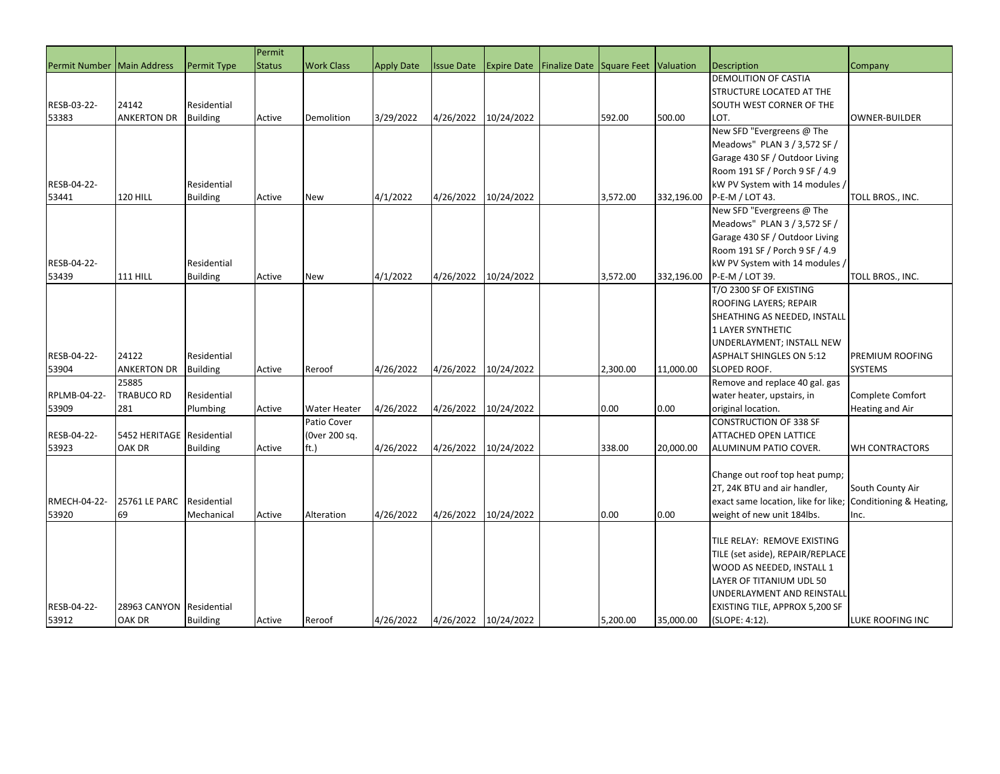|               |                    |                    | Permit        |                                    |                   |                   |                      |                           |          |            |                                                     |                         |
|---------------|--------------------|--------------------|---------------|------------------------------------|-------------------|-------------------|----------------------|---------------------------|----------|------------|-----------------------------------------------------|-------------------------|
| Permit Number | Main Address       | <b>Permit Type</b> | <b>Status</b> | <b>Work Class</b>                  | <b>Apply Date</b> | <b>Issue Date</b> | <b>Expire Date</b>   | Finalize Date Square Feet |          | Valuation  | Description                                         | Company                 |
|               |                    |                    |               |                                    |                   |                   |                      |                           |          |            | <b>DEMOLITION OF CASTIA</b>                         |                         |
|               |                    |                    |               |                                    |                   |                   |                      |                           |          |            | <b>STRUCTURE LOCATED AT THE</b>                     |                         |
| RESB-03-22-   | 24142              | Residential        |               |                                    |                   |                   |                      |                           |          |            | <b>SOUTH WEST CORNER OF THE</b>                     |                         |
| 53383         | <b>ANKERTON DR</b> | <b>Building</b>    | Active        | Demolition                         | 3/29/2022         | 4/26/2022         | 10/24/2022           |                           | 592.00   | 500.00     | LOT.                                                | <b>OWNER-BUILDER</b>    |
|               |                    |                    |               |                                    |                   |                   |                      |                           |          |            | New SFD "Evergreens @ The                           |                         |
|               |                    |                    |               |                                    |                   |                   |                      |                           |          |            | Meadows" PLAN 3 / 3,572 SF /                        |                         |
|               |                    |                    |               |                                    |                   |                   |                      |                           |          |            | Garage 430 SF / Outdoor Living                      |                         |
|               |                    |                    |               |                                    |                   |                   |                      |                           |          |            | Room 191 SF / Porch 9 SF / 4.9                      |                         |
| RESB-04-22-   |                    | Residential        |               |                                    |                   |                   |                      |                           |          |            | kW PV System with 14 modules /                      |                         |
| 53441         | 120 HILL           | <b>Building</b>    | Active        | <b>New</b>                         | 4/1/2022          | 4/26/2022         | 10/24/2022           |                           | 3,572.00 | 332,196.00 | P-E-M / LOT 43.                                     | TOLL BROS., INC.        |
|               |                    |                    |               |                                    |                   |                   |                      |                           |          |            | New SFD "Evergreens @ The                           |                         |
|               |                    |                    |               |                                    |                   |                   |                      |                           |          |            | Meadows" PLAN 3 / 3,572 SF /                        |                         |
|               |                    |                    |               |                                    |                   |                   |                      |                           |          |            | Garage 430 SF / Outdoor Living                      |                         |
|               |                    |                    |               |                                    |                   |                   |                      |                           |          |            | Room 191 SF / Porch 9 SF / 4.9                      |                         |
| RESB-04-22-   |                    | Residential        |               |                                    |                   |                   |                      |                           |          |            | kW PV System with 14 modules /                      |                         |
| 53439         | <b>111 HILL</b>    |                    |               |                                    | 4/1/2022          | 4/26/2022         | 10/24/2022           |                           | 3,572.00 | 332,196.00 |                                                     |                         |
|               |                    | <b>Building</b>    | Active        | New                                |                   |                   |                      |                           |          |            | P-E-M / LOT 39.<br>T/O 2300 SF OF EXISTING          | TOLL BROS., INC.        |
|               |                    |                    |               |                                    |                   |                   |                      |                           |          |            |                                                     |                         |
|               |                    |                    |               |                                    |                   |                   |                      |                           |          |            | ROOFING LAYERS; REPAIR                              |                         |
|               |                    |                    |               |                                    |                   |                   |                      |                           |          |            | SHEATHING AS NEEDED, INSTALL                        |                         |
|               |                    |                    |               |                                    |                   |                   |                      |                           |          |            | 1 LAYER SYNTHETIC                                   |                         |
|               |                    |                    |               |                                    |                   |                   |                      |                           |          |            | UNDERLAYMENT; INSTALL NEW                           |                         |
| RESB-04-22-   | 24122              | Residential        |               |                                    |                   |                   |                      |                           |          |            | <b>ASPHALT SHINGLES ON 5:12</b>                     | PREMIUM ROOFING         |
| 53904         | ANKERTON DR        | <b>Building</b>    | Active        | Reroof                             | 4/26/2022         | 4/26/2022         | 10/24/2022           |                           | 2,300.00 | 11,000.00  | <b>SLOPED ROOF.</b>                                 | SYSTEMS                 |
|               | 25885              |                    |               |                                    |                   |                   |                      |                           |          |            | Remove and replace 40 gal. gas                      |                         |
| RPLMB-04-22-  | <b>TRABUCO RD</b>  | Residential        |               |                                    |                   |                   |                      |                           |          |            | water heater, upstairs, in                          | Complete Comfort        |
| 53909         | 281                | Plumbing           | Active        | <b>Water Heater</b><br>Patio Cover | 4/26/2022         | 4/26/2022         | 10/24/2022           |                           | 0.00     | 0.00       | original location.<br><b>CONSTRUCTION OF 338 SF</b> | Heating and Air         |
| RESB-04-22-   | 5452 HERITAGE      | Residential        |               |                                    |                   |                   |                      |                           |          |            | <b>ATTACHED OPEN LATTICE</b>                        |                         |
|               | OAK DR             |                    |               | (Over 200 sq.                      |                   |                   | 10/24/2022           |                           | 338.00   | 20,000.00  |                                                     |                         |
| 53923         |                    | <b>Building</b>    | Active        | ft.)                               | 4/26/2022         | 4/26/2022         |                      |                           |          |            | ALUMINUM PATIO COVER.                               | WH CONTRACTORS          |
|               |                    |                    |               |                                    |                   |                   |                      |                           |          |            |                                                     |                         |
|               |                    |                    |               |                                    |                   |                   |                      |                           |          |            | Change out roof top heat pump;                      |                         |
|               |                    |                    |               |                                    |                   |                   |                      |                           |          |            | 2T, 24K BTU and air handler,                        | South County Air        |
| RMECH-04-22-  | 25761 LE PARC      | Residential        |               |                                    |                   |                   |                      |                           |          |            | exact same location, like for like;                 | Conditioning & Heating, |
| 53920         | 69                 | Mechanical         | Active        | Alteration                         | 4/26/2022         | 4/26/2022         | 10/24/2022           |                           | 0.00     | 0.00       | weight of new unit 184lbs.                          | Inc.                    |
|               |                    |                    |               |                                    |                   |                   |                      |                           |          |            |                                                     |                         |
|               |                    |                    |               |                                    |                   |                   |                      |                           |          |            | TILE RELAY: REMOVE EXISTING                         |                         |
|               |                    |                    |               |                                    |                   |                   |                      |                           |          |            | TILE (set aside), REPAIR/REPLACE                    |                         |
|               |                    |                    |               |                                    |                   |                   |                      |                           |          |            | WOOD AS NEEDED, INSTALL 1                           |                         |
|               |                    |                    |               |                                    |                   |                   |                      |                           |          |            | LAYER OF TITANIUM UDL 50                            |                         |
|               |                    |                    |               |                                    |                   |                   |                      |                           |          |            | UNDERLAYMENT AND REINSTALI                          |                         |
| RESB-04-22-   | 28963 CANYON       | Residential        |               |                                    |                   |                   |                      |                           |          |            | <b>EXISTING TILE, APPROX 5,200 SF</b>               |                         |
| 53912         | <b>OAK DR</b>      | <b>Building</b>    | Active        | Reroof                             | 4/26/2022         |                   | 4/26/2022 10/24/2022 |                           | 5,200.00 | 35,000.00  | (SLOPE: 4:12).                                      | LUKE ROOFING INC        |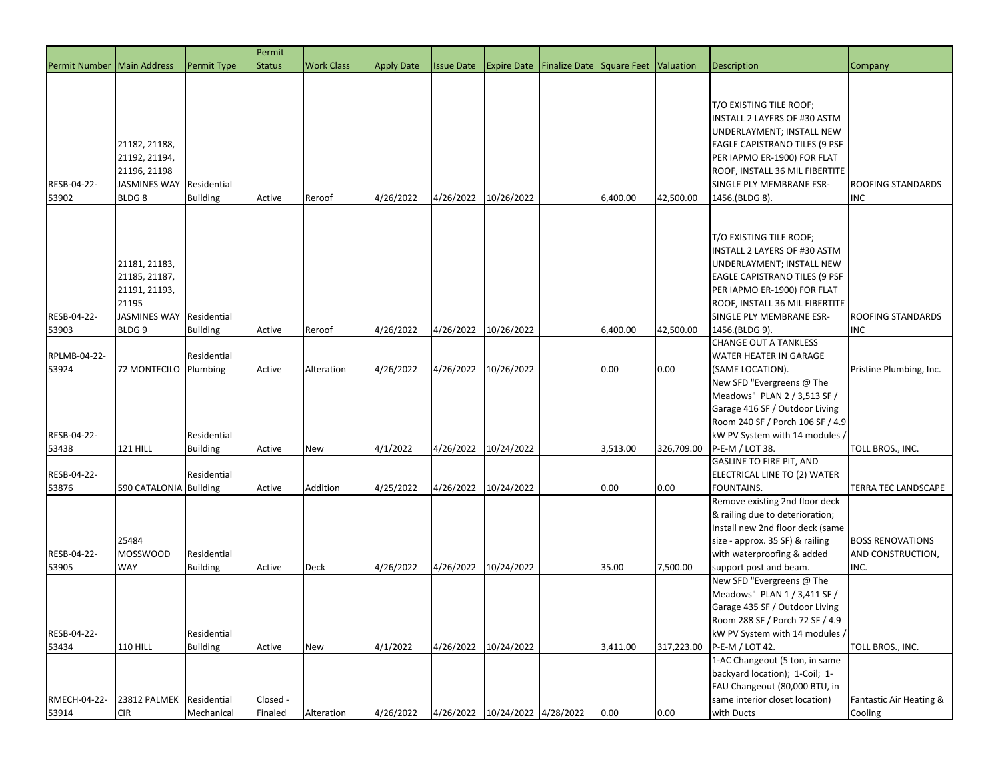|                              |                                                                                                      |                                | Permit              |                   |                   |                   |                                |                           |          |            |                                                                                                                                                                                                                                                    |                                                      |
|------------------------------|------------------------------------------------------------------------------------------------------|--------------------------------|---------------------|-------------------|-------------------|-------------------|--------------------------------|---------------------------|----------|------------|----------------------------------------------------------------------------------------------------------------------------------------------------------------------------------------------------------------------------------------------------|------------------------------------------------------|
| Permit Number   Main Address |                                                                                                      | <b>Permit Type</b>             | <b>Status</b>       | <b>Work Class</b> | <b>Apply Date</b> | <b>Issue Date</b> | <b>Expire Date</b>             | Finalize Date Square Feet |          | Valuation  | <b>Description</b>                                                                                                                                                                                                                                 | Company                                              |
| RESB-04-22-<br>53902         | 21182, 21188,<br>21192, 21194,<br>21196, 21198<br><b>JASMINES WAY</b><br>BLDG <sub>8</sub>           | Residential<br><b>Building</b> | Active              | Reroof            | 4/26/2022         | 4/26/2022         | 10/26/2022                     |                           | 6,400.00 | 42,500.00  | T/O EXISTING TILE ROOF;<br><b>INSTALL 2 LAYERS OF #30 ASTM</b><br>UNDERLAYMENT; INSTALL NEW<br><b>EAGLE CAPISTRANO TILES (9 PSF</b><br>PER IAPMO ER-1900) FOR FLAT<br>ROOF, INSTALL 36 MIL FIBERTITE<br>SINGLE PLY MEMBRANE ESR-<br>1456.(BLDG 8). | <b>ROOFING STANDARDS</b><br><b>INC</b>               |
| RESB-04-22-<br>53903         | 21181, 21183,<br>21185, 21187,<br>21191, 21193,<br>21195<br><b>JASMINES WAY</b><br>BLDG <sub>9</sub> | Residential<br><b>Building</b> | Active              | Reroof            | 4/26/2022         | 4/26/2022         | 10/26/2022                     |                           | 6,400.00 | 42,500.00  | T/O EXISTING TILE ROOF;<br>INSTALL 2 LAYERS OF #30 ASTM<br>UNDERLAYMENT; INSTALL NEW<br>EAGLE CAPISTRANO TILES (9 PSF<br>PER IAPMO ER-1900) FOR FLAT<br>ROOF, INSTALL 36 MIL FIBERTITE<br>SINGLE PLY MEMBRANE ESR-<br>1456.(BLDG 9).               | <b>ROOFING STANDARDS</b><br><b>INC</b>               |
|                              |                                                                                                      |                                |                     |                   |                   |                   |                                |                           |          |            | <b>CHANGE OUT A TANKLESS</b>                                                                                                                                                                                                                       |                                                      |
| RPLMB-04-22-<br>53924        | <b>72 MONTECILO</b>                                                                                  | Residential                    | Active              | Alteration        | 4/26/2022         | 4/26/2022         | 10/26/2022                     |                           | 0.00     | 0.00       | WATER HEATER IN GARAGE<br>(SAME LOCATION).                                                                                                                                                                                                         | Pristine Plumbing, Inc.                              |
|                              |                                                                                                      | Plumbing                       |                     |                   |                   |                   |                                |                           |          |            | New SFD "Evergreens @ The                                                                                                                                                                                                                          |                                                      |
| RESB-04-22-<br>53438         | <b>121 HILL</b>                                                                                      | Residential<br><b>Building</b> | Active              | <b>New</b>        | 4/1/2022          | 4/26/2022         | 10/24/2022                     |                           | 3,513.00 | 326,709.00 | Meadows" PLAN 2 / 3,513 SF /<br>Garage 416 SF / Outdoor Living<br>Room 240 SF / Porch 106 SF / 4.9<br>kW PV System with 14 modules /<br>P-E-M / LOT 38.                                                                                            | TOLL BROS., INC.                                     |
|                              |                                                                                                      |                                |                     |                   |                   |                   |                                |                           |          |            | <b>GASLINE TO FIRE PIT, AND</b>                                                                                                                                                                                                                    |                                                      |
| RESB-04-22-<br>53876         | 590 CATALONIA Building                                                                               | Residential                    | Active              | Addition          | 4/25/2022         | 4/26/2022         | 10/24/2022                     |                           | 0.00     | 0.00       | ELECTRICAL LINE TO (2) WATER<br>FOUNTAINS.                                                                                                                                                                                                         | <b>TERRA TEC LANDSCAPE</b>                           |
| RESB-04-22-<br>53905         | 25484<br><b>MOSSWOOD</b><br>WAY                                                                      | Residential<br><b>Building</b> | Active              | <b>Deck</b>       | 4/26/2022         | 4/26/2022         | 10/24/2022                     |                           | 35.00    | 7,500.00   | Remove existing 2nd floor deck<br>& railing due to deterioration;<br>Install new 2nd floor deck (same<br>size - approx. 35 SF) & railing<br>with waterproofing & added<br>support post and beam.                                                   | <b>BOSS RENOVATIONS</b><br>AND CONSTRUCTION,<br>INC. |
| RESB-04-22-<br>53434         | <b>110 HILL</b>                                                                                      | Residential<br><b>Building</b> | Active              | New               | 4/1/2022          | 4/26/2022         | 10/24/2022                     |                           | 3,411.00 | 317,223.00 | New SFD "Evergreens @ The<br>Meadows" PLAN 1 / 3,411 SF /<br>Garage 435 SF / Outdoor Living<br>Room 288 SF / Porch 72 SF / 4.9<br>kW PV System with 14 modules /<br>P-E-M / LOT 42.                                                                | TOLL BROS., INC.                                     |
| RMECH-04-22-<br>53914        | 23812 PALMEK<br><b>CIR</b>                                                                           | Residential<br>Mechanical      | Closed -<br>Finaled | Alteration        | 4/26/2022         |                   | 4/26/2022 10/24/2022 4/28/2022 |                           | 0.00     | 0.00       | 1-AC Changeout (5 ton, in same<br>backyard location); 1-Coil; 1-<br>FAU Changeout (80,000 BTU, in<br>same interior closet location)<br>with Ducts                                                                                                  | Fantastic Air Heating &<br>Cooling                   |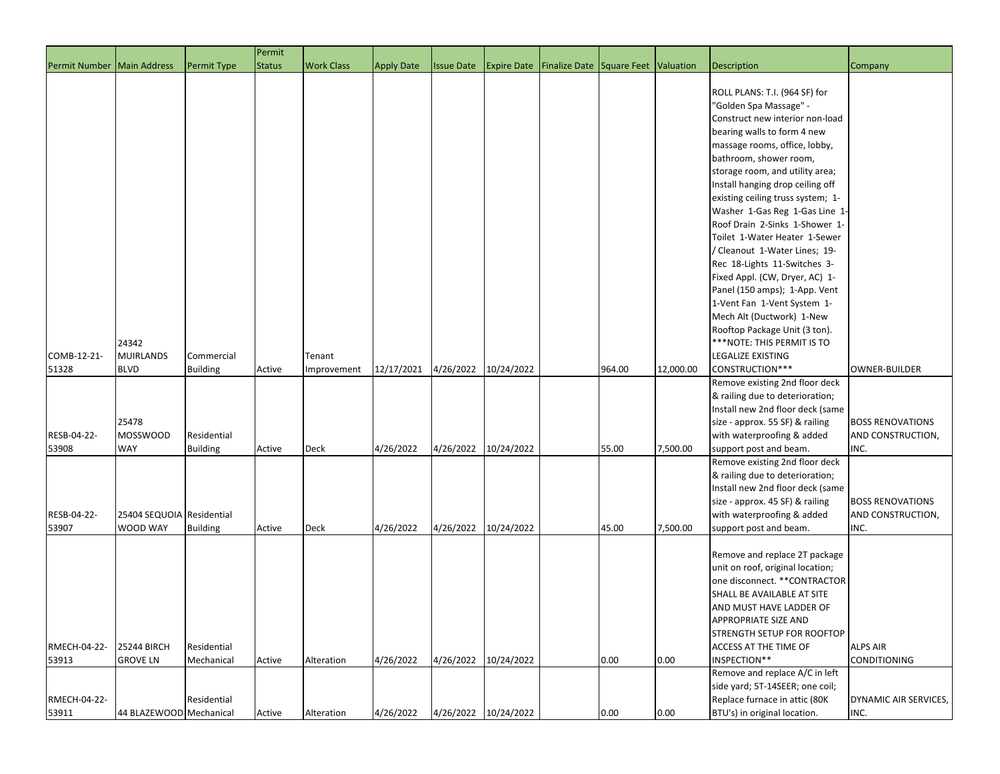|                              |                                          |                                | Permit        |                       |                   |                   |                      |                                                        |        |           |                                                                                                                                                                                                                                                                                                                                                                                                                                                                                                                                                                                                                                       |                                                      |
|------------------------------|------------------------------------------|--------------------------------|---------------|-----------------------|-------------------|-------------------|----------------------|--------------------------------------------------------|--------|-----------|---------------------------------------------------------------------------------------------------------------------------------------------------------------------------------------------------------------------------------------------------------------------------------------------------------------------------------------------------------------------------------------------------------------------------------------------------------------------------------------------------------------------------------------------------------------------------------------------------------------------------------------|------------------------------------------------------|
| Permit Number   Main Address |                                          | Permit Type                    | <b>Status</b> | <b>Work Class</b>     | <b>Apply Date</b> | <b>Issue Date</b> |                      | <b>Expire Date Finalize Date Square Feet Valuation</b> |        |           | Description                                                                                                                                                                                                                                                                                                                                                                                                                                                                                                                                                                                                                           | Company                                              |
|                              |                                          |                                |               |                       |                   |                   |                      |                                                        |        |           | ROLL PLANS: T.I. (964 SF) for<br>"Golden Spa Massage" -<br>Construct new interior non-load<br>bearing walls to form 4 new<br>massage rooms, office, lobby,<br>bathroom, shower room,<br>storage room, and utility area;<br>Install hanging drop ceiling off<br>existing ceiling truss system; 1-<br>Washer 1-Gas Reg 1-Gas Line 1<br>Roof Drain 2-Sinks 1-Shower 1-<br>Toilet 1-Water Heater 1-Sewer<br>/ Cleanout 1-Water Lines; 19-<br>Rec 18-Lights 11-Switches 3-<br>Fixed Appl. (CW, Dryer, AC) 1-<br>Panel (150 amps); 1-App. Vent<br>1-Vent Fan 1-Vent System 1-<br>Mech Alt (Ductwork) 1-New<br>Rooftop Package Unit (3 ton). |                                                      |
| COMB-12-21-<br>51328         | 24342<br><b>MUIRLANDS</b><br><b>BLVD</b> | Commercial<br><b>Building</b>  | Active        | Tenant<br>Improvement | 12/17/2021        | 4/26/2022         | 10/24/2022           |                                                        | 964.00 | 12,000.00 | *** NOTE: THIS PERMIT IS TO<br><b>LEGALIZE EXISTING</b><br>CONSTRUCTION***                                                                                                                                                                                                                                                                                                                                                                                                                                                                                                                                                            | <b>OWNER-BUILDER</b>                                 |
| RESB-04-22-<br>53908         | 25478<br><b>MOSSWOOD</b><br><b>WAY</b>   | Residential<br><b>Building</b> | Active        | Deck                  | 4/26/2022         | 4/26/2022         | 10/24/2022           |                                                        | 55.00  | 7,500.00  | Remove existing 2nd floor deck<br>& railing due to deterioration;<br>Install new 2nd floor deck (same<br>size - approx. 55 SF) & railing<br>with waterproofing & added<br>support post and beam.                                                                                                                                                                                                                                                                                                                                                                                                                                      | <b>BOSS RENOVATIONS</b><br>AND CONSTRUCTION,<br>INC. |
| RESB-04-22-<br>53907         | 25404 SEQUOIA Residential<br>WOOD WAY    | <b>Building</b>                | Active        | <b>Deck</b>           | 4/26/2022         |                   | 4/26/2022 10/24/2022 |                                                        | 45.00  | 7,500.00  | Remove existing 2nd floor deck<br>& railing due to deterioration;<br>Install new 2nd floor deck (same<br>size - approx. 45 SF) & railing<br>with waterproofing & added<br>support post and beam.                                                                                                                                                                                                                                                                                                                                                                                                                                      | <b>BOSS RENOVATIONS</b><br>AND CONSTRUCTION,<br>INC. |
| RMECH-04-22-<br>53913        | <b>25244 BIRCH</b><br><b>GROVE LN</b>    | Residential<br>Mechanical      | Active        | Alteration            | 4/26/2022         | 4/26/2022         | 10/24/2022           |                                                        | 0.00   | 0.00      | Remove and replace 2T package<br>unit on roof, original location;<br>one disconnect. ** CONTRACTOR<br>SHALL BE AVAILABLE AT SITE<br>AND MUST HAVE LADDER OF<br>APPROPRIATE SIZE AND<br>STRENGTH SETUP FOR ROOFTOP<br>ACCESS AT THE TIME OF<br>INSPECTION**                                                                                                                                                                                                                                                                                                                                                                            | <b>ALPS AIR</b><br><b>CONDITIONING</b>               |
| RMECH-04-22-<br>53911        | 44 BLAZEWOOD Mechanical                  | Residential                    | Active        | Alteration            | 4/26/2022         |                   | 4/26/2022 10/24/2022 |                                                        | 0.00   | 0.00      | Remove and replace A/C in left<br>side yard; 5T-14SEER; one coil;<br>Replace furnace in attic (80K<br>BTU's) in original location.                                                                                                                                                                                                                                                                                                                                                                                                                                                                                                    | DYNAMIC AIR SERVICES,<br>INC.                        |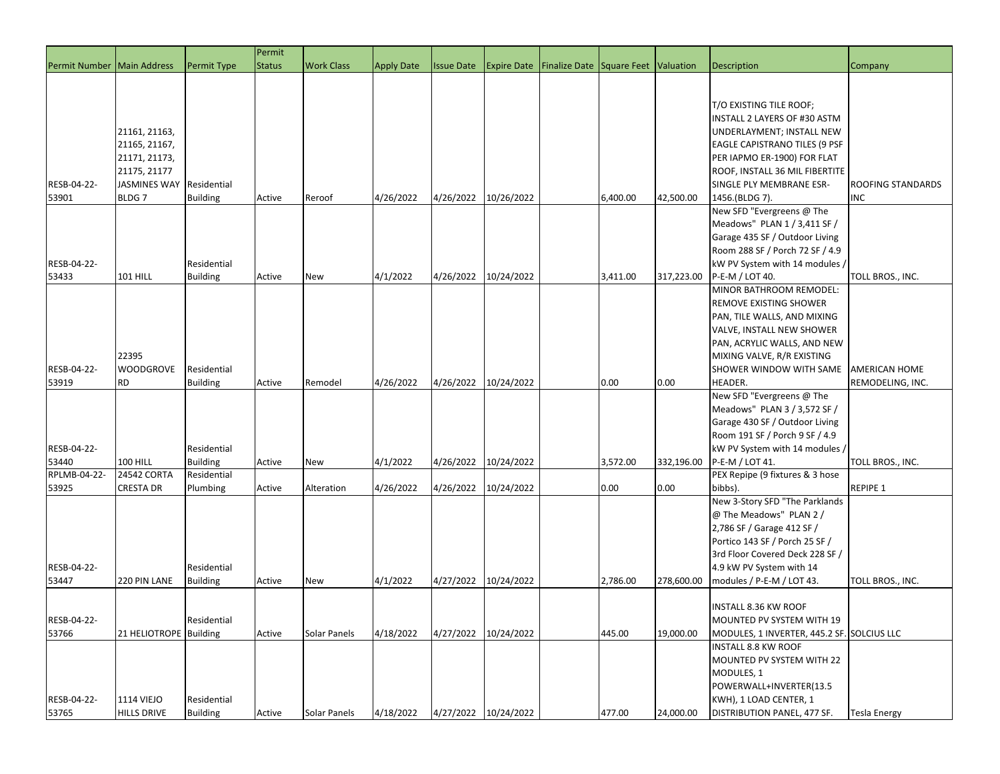|                              |                          |                 | Permit        |                   |                   |                      |                      |                                     |          |            |                                                   |                          |
|------------------------------|--------------------------|-----------------|---------------|-------------------|-------------------|----------------------|----------------------|-------------------------------------|----------|------------|---------------------------------------------------|--------------------------|
| Permit Number   Main Address |                          | Permit Type     | <b>Status</b> | <b>Work Class</b> | <b>Apply Date</b> | <b>Issue Date</b>    | <b>Expire Date</b>   | Finalize Date Square Feet Valuation |          |            | <b>Description</b>                                | Company                  |
|                              |                          |                 |               |                   |                   |                      |                      |                                     |          |            |                                                   |                          |
|                              |                          |                 |               |                   |                   |                      |                      |                                     |          |            |                                                   |                          |
|                              |                          |                 |               |                   |                   |                      |                      |                                     |          |            | T/O EXISTING TILE ROOF;                           |                          |
|                              |                          |                 |               |                   |                   |                      |                      |                                     |          |            | INSTALL 2 LAYERS OF #30 ASTM                      |                          |
|                              | 21161, 21163,            |                 |               |                   |                   |                      |                      |                                     |          |            | UNDERLAYMENT; INSTALL NEW                         |                          |
|                              | 21165, 21167,            |                 |               |                   |                   |                      |                      |                                     |          |            | EAGLE CAPISTRANO TILES (9 PSF                     |                          |
|                              | 21171, 21173,            |                 |               |                   |                   |                      |                      |                                     |          |            | PER IAPMO ER-1900) FOR FLAT                       |                          |
|                              | 21175, 21177             |                 |               |                   |                   |                      |                      |                                     |          |            | ROOF, INSTALL 36 MIL FIBERTITE                    |                          |
| RESB-04-22-                  | JASMINES WAY Residential |                 |               |                   |                   |                      |                      |                                     |          |            | SINGLE PLY MEMBRANE ESR-                          | <b>ROOFING STANDARDS</b> |
| 53901                        | BLDG <sub>7</sub>        | <b>Building</b> | Active        | Reroof            | 4/26/2022         | 4/26/2022            | 10/26/2022           |                                     | 6,400.00 | 42,500.00  | 1456.(BLDG 7).                                    | <b>INC</b>               |
|                              |                          |                 |               |                   |                   |                      |                      |                                     |          |            | New SFD "Evergreens @ The                         |                          |
|                              |                          |                 |               |                   |                   |                      |                      |                                     |          |            | Meadows" PLAN 1 / 3,411 SF /                      |                          |
|                              |                          |                 |               |                   |                   |                      |                      |                                     |          |            | Garage 435 SF / Outdoor Living                    |                          |
|                              |                          |                 |               |                   |                   |                      |                      |                                     |          |            | Room 288 SF / Porch 72 SF / 4.9                   |                          |
| RESB-04-22-<br>53433         | <b>101 HILL</b>          | Residential     |               |                   | 4/1/2022          | 4/26/2022 10/24/2022 |                      |                                     | 3,411.00 |            | kW PV System with 14 modules /<br>P-E-M / LOT 40. |                          |
|                              |                          | <b>Building</b> | Active        | <b>New</b>        |                   |                      |                      |                                     |          | 317,223.00 | MINOR BATHROOM REMODEL:                           | TOLL BROS., INC.         |
|                              |                          |                 |               |                   |                   |                      |                      |                                     |          |            | REMOVE EXISTING SHOWER                            |                          |
|                              |                          |                 |               |                   |                   |                      |                      |                                     |          |            | PAN, TILE WALLS, AND MIXING                       |                          |
|                              |                          |                 |               |                   |                   |                      |                      |                                     |          |            | VALVE, INSTALL NEW SHOWER                         |                          |
|                              |                          |                 |               |                   |                   |                      |                      |                                     |          |            | PAN, ACRYLIC WALLS, AND NEW                       |                          |
|                              | 22395                    |                 |               |                   |                   |                      |                      |                                     |          |            | MIXING VALVE, R/R EXISTING                        |                          |
| RESB-04-22-                  | <b>WOODGROVE</b>         | Residential     |               |                   |                   |                      |                      |                                     |          |            | SHOWER WINDOW WITH SAME                           | AMERICAN HOME            |
| 53919                        | <b>RD</b>                | <b>Building</b> | Active        | Remodel           | 4/26/2022         | 4/26/2022            | 10/24/2022           |                                     | 0.00     | 0.00       | HEADER.                                           | REMODELING, INC.         |
|                              |                          |                 |               |                   |                   |                      |                      |                                     |          |            | New SFD "Evergreens @ The                         |                          |
|                              |                          |                 |               |                   |                   |                      |                      |                                     |          |            | Meadows" PLAN 3 / 3,572 SF /                      |                          |
|                              |                          |                 |               |                   |                   |                      |                      |                                     |          |            | Garage 430 SF / Outdoor Living                    |                          |
|                              |                          |                 |               |                   |                   |                      |                      |                                     |          |            | Room 191 SF / Porch 9 SF / 4.9                    |                          |
| RESB-04-22-                  |                          | Residential     |               |                   |                   |                      |                      |                                     |          |            | kW PV System with 14 modules /                    |                          |
| 53440                        | <b>100 HILL</b>          | <b>Building</b> | Active        | New               | 4/1/2022          | 4/26/2022            | 10/24/2022           |                                     | 3,572.00 | 332,196.00 | P-E-M / LOT 41.                                   | TOLL BROS., INC.         |
| RPLMB-04-22-                 | 24542 CORTA              | Residential     |               |                   |                   |                      |                      |                                     |          |            | PEX Repipe (9 fixtures & 3 hose                   |                          |
| 53925                        | <b>CRESTA DR</b>         | Plumbing        | Active        | Alteration        | 4/26/2022         | 4/26/2022            | 10/24/2022           |                                     | 0.00     | 0.00       | bibbs).                                           | REPIPE 1                 |
|                              |                          |                 |               |                   |                   |                      |                      |                                     |          |            | New 3-Story SFD "The Parklands                    |                          |
|                              |                          |                 |               |                   |                   |                      |                      |                                     |          |            | @ The Meadows" PLAN 2 /                           |                          |
|                              |                          |                 |               |                   |                   |                      |                      |                                     |          |            | 2,786 SF / Garage 412 SF /                        |                          |
|                              |                          |                 |               |                   |                   |                      |                      |                                     |          |            | Portico 143 SF / Porch 25 SF /                    |                          |
|                              |                          |                 |               |                   |                   |                      |                      |                                     |          |            | 3rd Floor Covered Deck 228 SF /                   |                          |
| RESB-04-22-                  |                          | Residential     |               |                   |                   |                      |                      |                                     |          |            | 4.9 kW PV System with 14                          |                          |
| 53447                        | 220 PIN LANE             | <b>Building</b> | Active        | New               | 4/1/2022          | 4/27/2022            | 10/24/2022           |                                     | 2,786.00 | 278,600.00 | modules / P-E-M / LOT 43.                         | TOLL BROS., INC.         |
|                              |                          |                 |               |                   |                   |                      |                      |                                     |          |            |                                                   |                          |
|                              |                          |                 |               |                   |                   |                      |                      |                                     |          |            | <b>INSTALL 8.36 KW ROOF</b>                       |                          |
| RESB-04-22-                  |                          | Residential     |               |                   |                   |                      |                      |                                     |          |            | MOUNTED PV SYSTEM WITH 19                         |                          |
| 53766                        | 21 HELIOTROPE Building   |                 | Active        | Solar Panels      | 4/18/2022         | 4/27/2022            | 10/24/2022           |                                     | 445.00   | 19,000.00  | MODULES, 1 INVERTER, 445.2 SF. SOLCIUS LLC        |                          |
|                              |                          |                 |               |                   |                   |                      |                      |                                     |          |            | <b>INSTALL 8.8 KW ROOF</b>                        |                          |
|                              |                          |                 |               |                   |                   |                      |                      |                                     |          |            | MOUNTED PV SYSTEM WITH 22                         |                          |
|                              |                          |                 |               |                   |                   |                      |                      |                                     |          |            | MODULES, 1<br>POWERWALL+INVERTER(13.5             |                          |
| RESB-04-22-                  | <b>1114 VIEJO</b>        | Residential     |               |                   |                   |                      |                      |                                     |          |            | KWH), 1 LOAD CENTER, 1                            |                          |
| 53765                        | <b>HILLS DRIVE</b>       | <b>Building</b> | Active        | Solar Panels      | 4/18/2022         |                      | 4/27/2022 10/24/2022 |                                     | 477.00   | 24,000.00  | DISTRIBUTION PANEL, 477 SF.                       | Tesla Energy             |
|                              |                          |                 |               |                   |                   |                      |                      |                                     |          |            |                                                   |                          |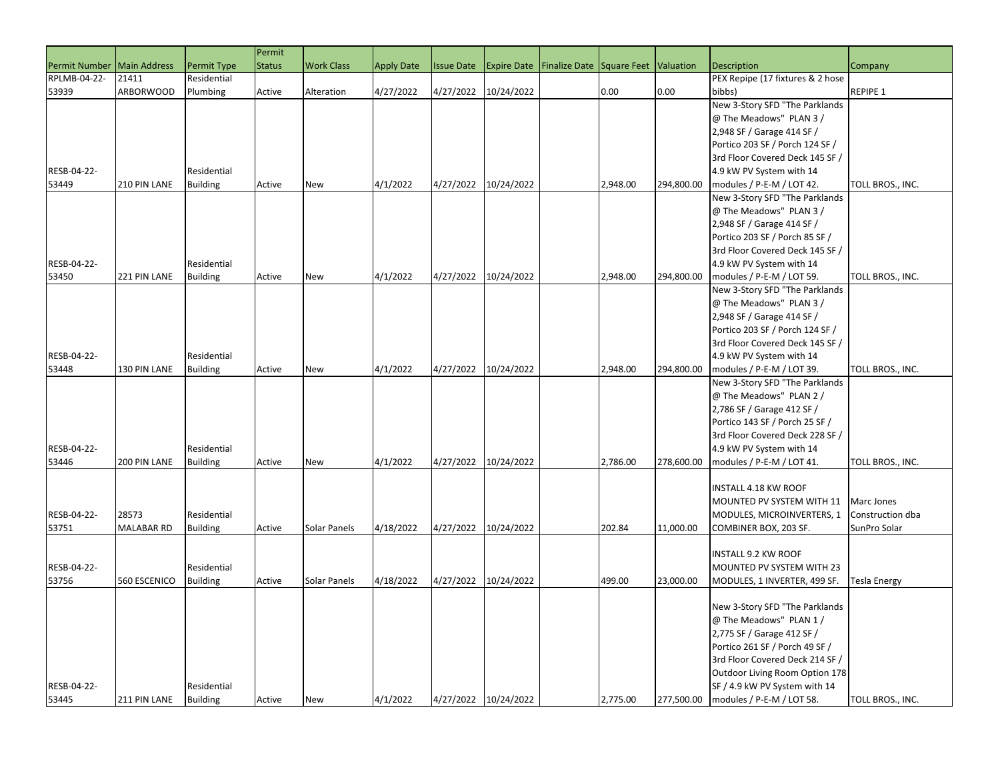|                              |                   |                 | Permit        |                   |                   |                   |                      |                                     |          |            |                                  |                     |
|------------------------------|-------------------|-----------------|---------------|-------------------|-------------------|-------------------|----------------------|-------------------------------------|----------|------------|----------------------------------|---------------------|
| Permit Number   Main Address |                   | Permit Type     | <b>Status</b> | <b>Work Class</b> | <b>Apply Date</b> | <b>Issue Date</b> | <b>Expire Date</b>   | Finalize Date Square Feet Valuation |          |            | <b>Description</b>               | Company             |
| RPLMB-04-22-                 | 21411             | Residential     |               |                   |                   |                   |                      |                                     |          |            | PEX Repipe (17 fixtures & 2 hose |                     |
| 53939                        | <b>ARBORWOOD</b>  | Plumbing        | Active        | Alteration        | 4/27/2022         | 4/27/2022         | 10/24/2022           |                                     | 0.00     | 0.00       | bibbs)                           | REPIPE 1            |
|                              |                   |                 |               |                   |                   |                   |                      |                                     |          |            | New 3-Story SFD "The Parklands   |                     |
|                              |                   |                 |               |                   |                   |                   |                      |                                     |          |            | @ The Meadows" PLAN 3 /          |                     |
|                              |                   |                 |               |                   |                   |                   |                      |                                     |          |            | 2,948 SF / Garage 414 SF /       |                     |
|                              |                   |                 |               |                   |                   |                   |                      |                                     |          |            | Portico 203 SF / Porch 124 SF /  |                     |
|                              |                   |                 |               |                   |                   |                   |                      |                                     |          |            | 3rd Floor Covered Deck 145 SF /  |                     |
| RESB-04-22-                  |                   | Residential     |               |                   |                   |                   |                      |                                     |          |            | 4.9 kW PV System with 14         |                     |
| 53449                        | 210 PIN LANE      | <b>Building</b> | Active        | <b>New</b>        | 4/1/2022          | 4/27/2022         | 10/24/2022           |                                     | 2,948.00 | 294,800.00 | modules / P-E-M / LOT 42.        | TOLL BROS., INC.    |
|                              |                   |                 |               |                   |                   |                   |                      |                                     |          |            | New 3-Story SFD "The Parklands   |                     |
|                              |                   |                 |               |                   |                   |                   |                      |                                     |          |            | @ The Meadows" PLAN 3 /          |                     |
|                              |                   |                 |               |                   |                   |                   |                      |                                     |          |            | 2,948 SF / Garage 414 SF /       |                     |
|                              |                   |                 |               |                   |                   |                   |                      |                                     |          |            | Portico 203 SF / Porch 85 SF /   |                     |
|                              |                   |                 |               |                   |                   |                   |                      |                                     |          |            | 3rd Floor Covered Deck 145 SF /  |                     |
| RESB-04-22-                  |                   | Residential     |               |                   |                   |                   |                      |                                     |          |            | 4.9 kW PV System with 14         |                     |
| 53450                        | 221 PIN LANE      | <b>Building</b> | Active        | <b>New</b>        | 4/1/2022          | 4/27/2022         | 10/24/2022           |                                     | 2,948.00 | 294,800.00 | modules / P-E-M / LOT 59.        | TOLL BROS., INC.    |
|                              |                   |                 |               |                   |                   |                   |                      |                                     |          |            | New 3-Story SFD "The Parklands   |                     |
|                              |                   |                 |               |                   |                   |                   |                      |                                     |          |            | @ The Meadows" PLAN 3 /          |                     |
|                              |                   |                 |               |                   |                   |                   |                      |                                     |          |            | 2,948 SF / Garage 414 SF /       |                     |
|                              |                   |                 |               |                   |                   |                   |                      |                                     |          |            | Portico 203 SF / Porch 124 SF /  |                     |
|                              |                   |                 |               |                   |                   |                   |                      |                                     |          |            | 3rd Floor Covered Deck 145 SF /  |                     |
| RESB-04-22-                  |                   | Residential     |               |                   |                   |                   |                      |                                     |          |            | 4.9 kW PV System with 14         |                     |
| 53448                        | 130 PIN LANE      | <b>Building</b> | Active        | <b>New</b>        | 4/1/2022          | 4/27/2022         | 10/24/2022           |                                     | 2.948.00 | 294,800.00 | modules / P-E-M / LOT 39.        | TOLL BROS., INC.    |
|                              |                   |                 |               |                   |                   |                   |                      |                                     |          |            | New 3-Story SFD "The Parklands   |                     |
|                              |                   |                 |               |                   |                   |                   |                      |                                     |          |            | @ The Meadows" PLAN 2 /          |                     |
|                              |                   |                 |               |                   |                   |                   |                      |                                     |          |            | 2,786 SF / Garage 412 SF /       |                     |
|                              |                   |                 |               |                   |                   |                   |                      |                                     |          |            | Portico 143 SF / Porch 25 SF /   |                     |
|                              |                   |                 |               |                   |                   |                   |                      |                                     |          |            | 3rd Floor Covered Deck 228 SF /  |                     |
| RESB-04-22-                  |                   | Residential     |               |                   |                   |                   |                      |                                     |          |            | 4.9 kW PV System with 14         |                     |
| 53446                        | 200 PIN LANE      | <b>Building</b> | Active        | <b>New</b>        | 4/1/2022          | 4/27/2022         | 10/24/2022           |                                     | 2,786.00 | 278,600.00 | modules / P-E-M / LOT 41.        | TOLL BROS., INC.    |
|                              |                   |                 |               |                   |                   |                   |                      |                                     |          |            |                                  |                     |
|                              |                   |                 |               |                   |                   |                   |                      |                                     |          |            | INSTALL 4.18 KW ROOF             |                     |
|                              |                   |                 |               |                   |                   |                   |                      |                                     |          |            | MOUNTED PV SYSTEM WITH 11        | Marc Jones          |
| RESB-04-22-                  | 28573             | Residential     |               |                   |                   |                   |                      |                                     |          |            | MODULES, MICROINVERTERS, 1       | Construction dba    |
| 53751                        | <b>MALABAR RD</b> | <b>Building</b> | Active        | Solar Panels      | 4/18/2022         | 4/27/2022         | 10/24/2022           |                                     | 202.84   | 11,000.00  | COMBINER BOX, 203 SF.            | SunPro Solar        |
|                              |                   |                 |               |                   |                   |                   |                      |                                     |          |            | INSTALL 9.2 KW ROOF              |                     |
| RESB-04-22-                  |                   | Residential     |               |                   |                   |                   |                      |                                     |          |            | MOUNTED PV SYSTEM WITH 23        |                     |
| 53756                        | 560 ESCENICO      | <b>Building</b> | Active        | Solar Panels      | 4/18/2022         | 4/27/2022         | 10/24/2022           |                                     | 499.00   | 23,000.00  | MODULES, 1 INVERTER, 499 SF.     | <b>Tesla Energy</b> |
|                              |                   |                 |               |                   |                   |                   |                      |                                     |          |            |                                  |                     |
|                              |                   |                 |               |                   |                   |                   |                      |                                     |          |            | New 3-Story SFD "The Parklands   |                     |
|                              |                   |                 |               |                   |                   |                   |                      |                                     |          |            | @ The Meadows" PLAN 1 /          |                     |
|                              |                   |                 |               |                   |                   |                   |                      |                                     |          |            | 2,775 SF / Garage 412 SF /       |                     |
|                              |                   |                 |               |                   |                   |                   |                      |                                     |          |            | Portico 261 SF / Porch 49 SF /   |                     |
|                              |                   |                 |               |                   |                   |                   |                      |                                     |          |            | 3rd Floor Covered Deck 214 SF /  |                     |
|                              |                   |                 |               |                   |                   |                   |                      |                                     |          |            | Outdoor Living Room Option 178   |                     |
| RESB-04-22-                  |                   | Residential     |               |                   |                   |                   |                      |                                     |          |            | SF / 4.9 kW PV System with 14    |                     |
| 53445                        | 211 PIN LANE      | <b>Building</b> | Active        | New               | 4/1/2022          |                   | 4/27/2022 10/24/2022 |                                     | 2,775.00 | 277,500.00 | modules / P-E-M / LOT 58.        | TOLL BROS., INC.    |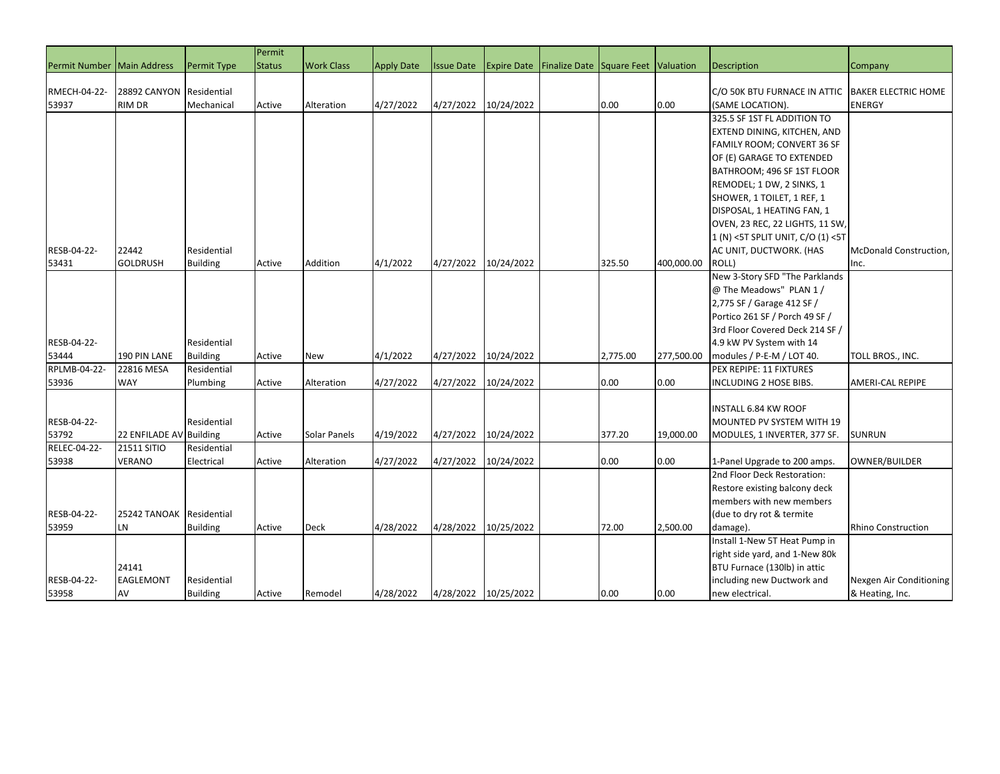|                              |                                        |                 | Permit        |                   |                   |                   |                      |                                                 |          |            |                                                   |                            |
|------------------------------|----------------------------------------|-----------------|---------------|-------------------|-------------------|-------------------|----------------------|-------------------------------------------------|----------|------------|---------------------------------------------------|----------------------------|
| Permit Number   Main Address |                                        | Permit Type     | <b>Status</b> | <b>Work Class</b> | <b>Apply Date</b> | <b>Issue Date</b> |                      | Expire Date Finalize Date Square Feet Valuation |          |            | <b>Description</b>                                | Company                    |
|                              |                                        |                 |               |                   |                   |                   |                      |                                                 |          |            |                                                   |                            |
| RMECH-04-22-                 | 28892 CANYON                           | Residential     |               |                   |                   |                   |                      |                                                 |          |            | C/O 50K BTU FURNACE IN ATTIC                      | <b>BAKER ELECTRIC HOME</b> |
| 53937                        | <b>RIM DR</b>                          | Mechanical      | Active        | Alteration        | 4/27/2022         | 4/27/2022         | 10/24/2022           |                                                 | 0.00     | 0.00       | (SAME LOCATION).                                  | <b>ENERGY</b>              |
|                              |                                        |                 |               |                   |                   |                   |                      |                                                 |          |            | 325.5 SF 1ST FL ADDITION TO                       |                            |
|                              |                                        |                 |               |                   |                   |                   |                      |                                                 |          |            | EXTEND DINING, KITCHEN, AND                       |                            |
|                              |                                        |                 |               |                   |                   |                   |                      |                                                 |          |            | FAMILY ROOM; CONVERT 36 SF                        |                            |
|                              |                                        |                 |               |                   |                   |                   |                      |                                                 |          |            | OF (E) GARAGE TO EXTENDED                         |                            |
|                              |                                        |                 |               |                   |                   |                   |                      |                                                 |          |            | BATHROOM; 496 SF 1ST FLOOR                        |                            |
|                              |                                        |                 |               |                   |                   |                   |                      |                                                 |          |            | REMODEL; 1 DW, 2 SINKS, 1                         |                            |
|                              |                                        |                 |               |                   |                   |                   |                      |                                                 |          |            | SHOWER, 1 TOILET, 1 REF, 1                        |                            |
|                              |                                        |                 |               |                   |                   |                   |                      |                                                 |          |            | DISPOSAL, 1 HEATING FAN, 1                        |                            |
|                              |                                        |                 |               |                   |                   |                   |                      |                                                 |          |            | OVEN, 23 REC, 22 LIGHTS, 11 SW                    |                            |
|                              |                                        |                 |               |                   |                   |                   |                      |                                                 |          |            | 1 (N) < 5T SPLIT UNIT, C/O (1) < 5T               |                            |
| RESB-04-22-                  | 22442                                  | Residential     |               |                   |                   |                   |                      |                                                 |          |            | AC UNIT, DUCTWORK. (HAS                           | McDonald Construction,     |
| 53431                        | <b>GOLDRUSH</b>                        | <b>Building</b> | Active        | Addition          | 4/1/2022          | 4/27/2022         | 10/24/2022           |                                                 | 325.50   | 400,000.00 | ROLL)                                             | Inc.                       |
|                              |                                        |                 |               |                   |                   |                   |                      |                                                 |          |            | New 3-Story SFD "The Parklands                    |                            |
|                              |                                        |                 |               |                   |                   |                   |                      |                                                 |          |            | @ The Meadows" PLAN 1 /                           |                            |
|                              |                                        |                 |               |                   |                   |                   |                      |                                                 |          |            | 2,775 SF / Garage 412 SF /                        |                            |
|                              |                                        |                 |               |                   |                   |                   |                      |                                                 |          |            | Portico 261 SF / Porch 49 SF /                    |                            |
|                              |                                        |                 |               |                   |                   |                   |                      |                                                 |          |            | 3rd Floor Covered Deck 214 SF /                   |                            |
| RESB-04-22-                  |                                        | Residential     |               |                   |                   |                   |                      |                                                 |          |            | 4.9 kW PV System with 14                          |                            |
| 53444                        | 190 PIN LANE                           | <b>Building</b> | Active        | <b>New</b>        | 4/1/2022          | 4/27/2022         | 10/24/2022           |                                                 | 2,775.00 | 277,500.00 | modules / P-E-M / LOT 40.                         | TOLL BROS., INC.           |
| RPLMB-04-22-                 | 22816 MESA                             | Residential     |               |                   |                   |                   |                      |                                                 |          |            | PEX REPIPE: 11 FIXTURES                           |                            |
| 53936                        | WAY                                    | Plumbing        | Active        | Alteration        | 4/27/2022         | 4/27/2022         | 10/24/2022           |                                                 | 0.00     | 0.00       | INCLUDING 2 HOSE BIBS.                            | AMERI-CAL REPIPE           |
|                              |                                        |                 |               |                   |                   |                   |                      |                                                 |          |            |                                                   |                            |
| RESB-04-22-                  |                                        | Residential     |               |                   |                   |                   |                      |                                                 |          |            | INSTALL 6.84 KW ROOF<br>MOUNTED PV SYSTEM WITH 19 |                            |
| 53792                        |                                        |                 |               |                   | 4/19/2022         | 4/27/2022         | 10/24/2022           |                                                 | 377.20   | 19,000.00  |                                                   | <b>SUNRUN</b>              |
| RELEC-04-22-                 | 22 ENFILADE AV Building<br>21511 SITIO | Residential     | Active        | Solar Panels      |                   |                   |                      |                                                 |          |            | MODULES, 1 INVERTER, 377 SF.                      |                            |
| 53938                        | VERANO                                 | Electrical      | Active        | Alteration        | 4/27/2022         | 4/27/2022         | 10/24/2022           |                                                 | 0.00     | 0.00       | 1-Panel Upgrade to 200 amps.                      | OWNER/BUILDER              |
|                              |                                        |                 |               |                   |                   |                   |                      |                                                 |          |            | 2nd Floor Deck Restoration:                       |                            |
|                              |                                        |                 |               |                   |                   |                   |                      |                                                 |          |            | Restore existing balcony deck                     |                            |
|                              |                                        |                 |               |                   |                   |                   |                      |                                                 |          |            | members with new members                          |                            |
| RESB-04-22-                  | 25242 TANOAK Residential               |                 |               |                   |                   |                   |                      |                                                 |          |            | (due to dry rot & termite                         |                            |
| 53959                        | LN                                     | <b>Building</b> | Active        | Deck              | 4/28/2022         | 4/28/2022         | 10/25/2022           |                                                 | 72.00    | 2,500.00   | damage).                                          | <b>Rhino Construction</b>  |
|                              |                                        |                 |               |                   |                   |                   |                      |                                                 |          |            | Install 1-New 5T Heat Pump in                     |                            |
|                              |                                        |                 |               |                   |                   |                   |                      |                                                 |          |            | right side yard, and 1-New 80k                    |                            |
|                              | 24141                                  |                 |               |                   |                   |                   |                      |                                                 |          |            | BTU Furnace (130lb) in attic                      |                            |
| RESB-04-22-                  | <b>EAGLEMONT</b>                       | Residential     |               |                   |                   |                   |                      |                                                 |          |            | including new Ductwork and                        | Nexgen Air Conditioning    |
| 53958                        | AV                                     | <b>Building</b> | Active        | Remodel           | 4/28/2022         |                   | 4/28/2022 10/25/2022 |                                                 | 0.00     | 0.00       | new electrical.                                   | & Heating, Inc.            |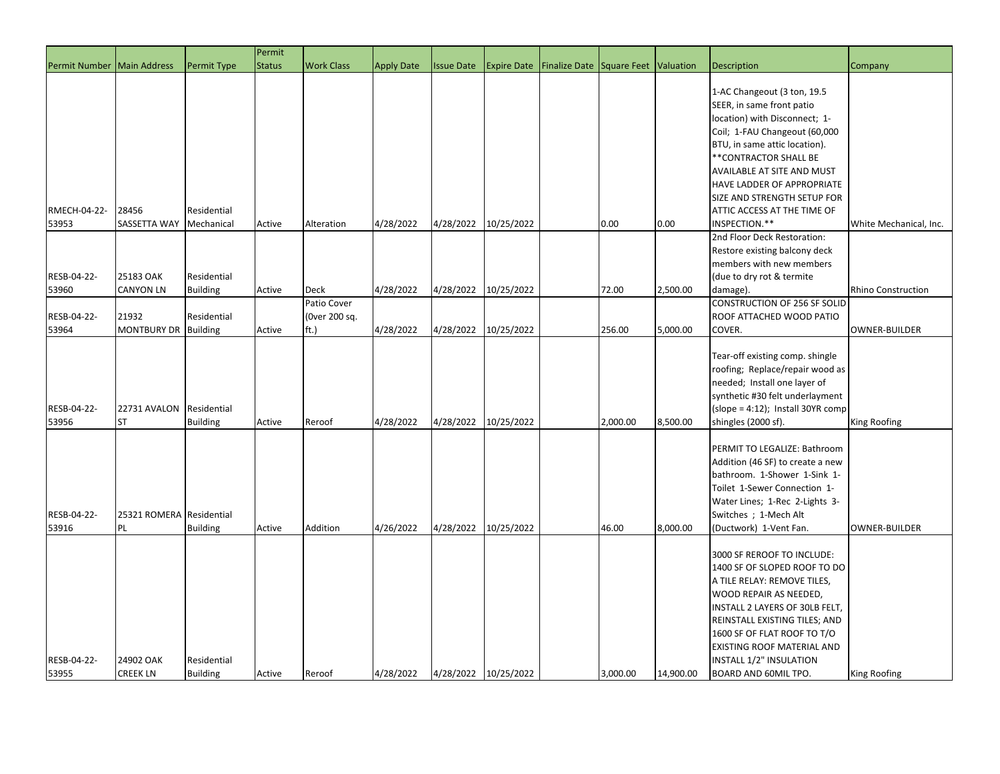|                       |                                |                                | Permit        |                              |                   |                      |                    |                      |             |           |                                                                                                                                                                                                                                                                                                                                 |                        |
|-----------------------|--------------------------------|--------------------------------|---------------|------------------------------|-------------------|----------------------|--------------------|----------------------|-------------|-----------|---------------------------------------------------------------------------------------------------------------------------------------------------------------------------------------------------------------------------------------------------------------------------------------------------------------------------------|------------------------|
| <b>Permit Number</b>  | Main Address                   | <b>Permit Type</b>             | <b>Status</b> | <b>Work Class</b>            | <b>Apply Date</b> | <b>Issue Date</b>    | <b>Expire Date</b> | <b>Finalize Date</b> | Square Feet | Valuation | <b>Description</b>                                                                                                                                                                                                                                                                                                              | Company                |
| RMECH-04-22-<br>53953 | 28456<br>SASSETTA WAY          | Residential<br>Mechanical      | Active        | Alteration                   | 4/28/2022         | 4/28/2022            | 10/25/2022         |                      | 0.00        | 0.00      | 1-AC Changeout (3 ton, 19.5<br>SEER, in same front patio<br>location) with Disconnect; 1-<br>Coil; 1-FAU Changeout (60,000<br>BTU, in same attic location).<br>**CONTRACTOR SHALL BE<br>AVAILABLE AT SITE AND MUST<br>HAVE LADDER OF APPROPRIATE<br>SIZE AND STRENGTH SETUP FOR<br>ATTIC ACCESS AT THE TIME OF<br>INSPECTION.** | White Mechanical, Inc. |
|                       |                                |                                |               |                              |                   |                      |                    |                      |             |           | 2nd Floor Deck Restoration:                                                                                                                                                                                                                                                                                                     |                        |
| RESB-04-22-<br>53960  | 25183 OAK<br><b>CANYON LN</b>  | Residential<br><b>Building</b> | Active        | <b>Deck</b>                  | 4/28/2022         | 4/28/2022            | 10/25/2022         |                      | 72.00       | 2,500.00  | Restore existing balcony deck<br>members with new members<br>(due to dry rot & termite<br>damage).                                                                                                                                                                                                                              | Rhino Construction     |
| RESB-04-22-           | 21932                          | Residential                    |               | Patio Cover<br>(Over 200 sq. |                   |                      |                    |                      |             |           | CONSTRUCTION OF 256 SF SOLID<br>ROOF ATTACHED WOOD PATIO                                                                                                                                                                                                                                                                        |                        |
| 53964                 | <b>MONTBURY DR</b>             | <b>Building</b>                | Active        | ft.)                         | 4/28/2022         | 4/28/2022            | 10/25/2022         |                      | 256.00      | 5,000.00  | COVER.                                                                                                                                                                                                                                                                                                                          | <b>OWNER-BUILDER</b>   |
| RESB-04-22-<br>53956  | 22731 AVALON<br><b>ST</b>      | Residential<br><b>Building</b> | Active        | Reroof                       | 4/28/2022         | 4/28/2022            | 10/25/2022         |                      | 2,000.00    | 8,500.00  | Tear-off existing comp. shingle<br>roofing; Replace/repair wood as<br>needed; Install one layer of<br>synthetic #30 felt underlayment<br>$(slope = 4:12)$ ; Install 30YR comp<br>shingles (2000 sf).                                                                                                                            | <b>King Roofing</b>    |
| RESB-04-22-<br>53916  | 25321 ROMERA Residential<br>PL | <b>Building</b>                | Active        | <b>Addition</b>              | 4/26/2022         | 4/28/2022            | 10/25/2022         |                      | 46.00       | 8,000.00  | PERMIT TO LEGALIZE: Bathroom<br>Addition (46 SF) to create a new<br>bathroom. 1-Shower 1-Sink 1-<br>Toilet 1-Sewer Connection 1-<br>Water Lines; 1-Rec 2-Lights 3-<br>Switches ; 1-Mech Alt<br>(Ductwork) 1-Vent Fan.                                                                                                           | OWNER-BUILDER          |
| RESB-04-22-<br>53955  | 24902 OAK<br><b>CREEK LN</b>   | Residential<br><b>Building</b> | Active        | Reroof                       | 4/28/2022         | 4/28/2022 10/25/2022 |                    |                      | 3,000.00    | 14,900.00 | 3000 SF REROOF TO INCLUDE:<br>1400 SF OF SLOPED ROOF TO DO<br>A TILE RELAY: REMOVE TILES,<br>WOOD REPAIR AS NEEDED,<br>INSTALL 2 LAYERS OF 30LB FELT,<br>REINSTALL EXISTING TILES; AND<br>1600 SF OF FLAT ROOF TO T/O<br>EXISTING ROOF MATERIAL AND<br>INSTALL 1/2" INSULATION<br>BOARD AND 60MIL TPO.                          | <b>King Roofing</b>    |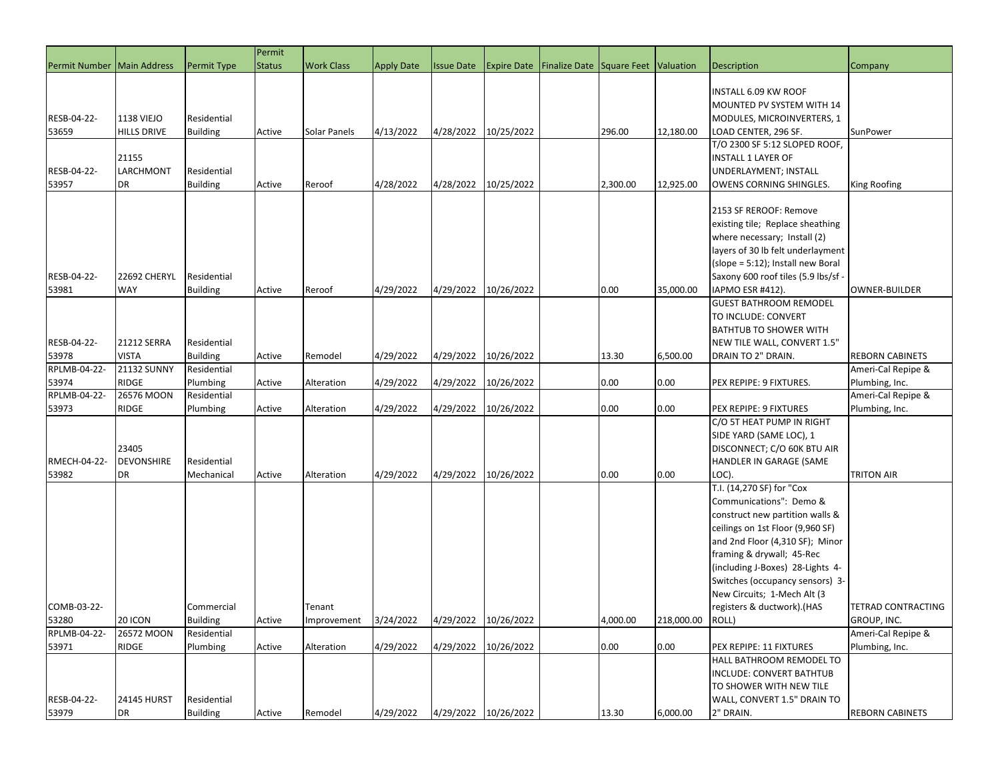|                              |                    |                    | Permit        |                   |                   |                   |                      |                                                        |          |            |                                     |                        |
|------------------------------|--------------------|--------------------|---------------|-------------------|-------------------|-------------------|----------------------|--------------------------------------------------------|----------|------------|-------------------------------------|------------------------|
| Permit Number   Main Address |                    | <b>Permit Type</b> | <b>Status</b> | <b>Work Class</b> | <b>Apply Date</b> | <b>Issue Date</b> |                      | <b>Expire Date Finalize Date Square Feet Valuation</b> |          |            | <b>Description</b>                  | Company                |
|                              |                    |                    |               |                   |                   |                   |                      |                                                        |          |            |                                     |                        |
|                              |                    |                    |               |                   |                   |                   |                      |                                                        |          |            | INSTALL 6.09 KW ROOF                |                        |
|                              |                    |                    |               |                   |                   |                   |                      |                                                        |          |            | MOUNTED PV SYSTEM WITH 14           |                        |
| RESB-04-22-                  | <b>1138 VIEJO</b>  | Residential        |               |                   |                   |                   |                      |                                                        |          |            | MODULES, MICROINVERTERS, 1          |                        |
| 53659                        | <b>HILLS DRIVE</b> | <b>Building</b>    | Active        | Solar Panels      | 4/13/2022         | 4/28/2022         | 10/25/2022           |                                                        | 296.00   | 12,180.00  | LOAD CENTER, 296 SF.                | SunPower               |
|                              |                    |                    |               |                   |                   |                   |                      |                                                        |          |            | T/O 2300 SF 5:12 SLOPED ROOF,       |                        |
|                              | 21155              |                    |               |                   |                   |                   |                      |                                                        |          |            | <b>INSTALL 1 LAYER OF</b>           |                        |
| RESB-04-22-                  | LARCHMONT          | Residential        |               |                   |                   |                   |                      |                                                        |          |            | UNDERLAYMENT; INSTALL               |                        |
| 53957                        | DR                 | <b>Building</b>    | Active        | Reroof            | 4/28/2022         | 4/28/2022         | 10/25/2022           |                                                        | 2,300.00 | 12,925.00  | OWENS CORNING SHINGLES.             | King Roofing           |
|                              |                    |                    |               |                   |                   |                   |                      |                                                        |          |            |                                     |                        |
|                              |                    |                    |               |                   |                   |                   |                      |                                                        |          |            | 2153 SF REROOF: Remove              |                        |
|                              |                    |                    |               |                   |                   |                   |                      |                                                        |          |            | existing tile; Replace sheathing    |                        |
|                              |                    |                    |               |                   |                   |                   |                      |                                                        |          |            | where necessary; Install (2)        |                        |
|                              |                    |                    |               |                   |                   |                   |                      |                                                        |          |            | layers of 30 lb felt underlayment   |                        |
|                              |                    |                    |               |                   |                   |                   |                      |                                                        |          |            | (slope = 5:12); Install new Boral   |                        |
| RESB-04-22-                  | 22692 CHERYL       | Residential        |               |                   |                   |                   |                      |                                                        |          |            | Saxony 600 roof tiles (5.9 lbs/sf - |                        |
| 53981                        | <b>WAY</b>         | <b>Building</b>    | Active        | Reroof            | 4/29/2022         | 4/29/2022         | 10/26/2022           |                                                        | 0.00     | 35,000.00  | IAPMO ESR #412).                    | <b>OWNER-BUILDER</b>   |
|                              |                    |                    |               |                   |                   |                   |                      |                                                        |          |            | <b>GUEST BATHROOM REMODEL</b>       |                        |
|                              |                    |                    |               |                   |                   |                   |                      |                                                        |          |            | TO INCLUDE: CONVERT                 |                        |
|                              |                    |                    |               |                   |                   |                   |                      |                                                        |          |            | <b>BATHTUB TO SHOWER WITH</b>       |                        |
| RESB-04-22-                  | <b>21212 SERRA</b> | Residential        |               |                   |                   |                   |                      |                                                        |          |            | NEW TILE WALL, CONVERT 1.5"         |                        |
| 53978                        | <b>VISTA</b>       | <b>Building</b>    | Active        | Remodel           | 4/29/2022         | 4/29/2022         | 10/26/2022           |                                                        | 13.30    | 6,500.00   | DRAIN TO 2" DRAIN.                  | <b>REBORN CABINETS</b> |
| RPLMB-04-22-                 | <b>21132 SUNNY</b> | Residential        |               |                   |                   |                   |                      |                                                        |          |            |                                     | Ameri-Cal Repipe &     |
| 53974                        | <b>RIDGE</b>       | Plumbing           | Active        | Alteration        | 4/29/2022         | 4/29/2022         | 10/26/2022           |                                                        | 0.00     | 0.00       | PEX REPIPE: 9 FIXTURES.             | Plumbing, Inc.         |
| RPLMB-04-22-                 | 26576 MOON         | Residential        |               |                   |                   |                   |                      |                                                        |          |            |                                     | Ameri-Cal Repipe &     |
| 53973                        | RIDGE              | Plumbing           | Active        | Alteration        | 4/29/2022         | 4/29/2022         | 10/26/2022           |                                                        | 0.00     | 0.00       | PEX REPIPE: 9 FIXTURES              | Plumbing, Inc.         |
|                              |                    |                    |               |                   |                   |                   |                      |                                                        |          |            | C/O 5T HEAT PUMP IN RIGHT           |                        |
|                              |                    |                    |               |                   |                   |                   |                      |                                                        |          |            | SIDE YARD (SAME LOC), 1             |                        |
|                              | 23405              |                    |               |                   |                   |                   |                      |                                                        |          |            | DISCONNECT; C/O 60K BTU AIR         |                        |
| RMECH-04-22-                 | <b>DEVONSHIRE</b>  | Residential        |               |                   |                   |                   |                      |                                                        |          |            | HANDLER IN GARAGE (SAME             |                        |
| 53982                        | DR                 | Mechanical         | Active        | Alteration        | 4/29/2022         | 4/29/2022         | 10/26/2022           |                                                        | 0.00     | 0.00       | LOC).                               | TRITON AIR             |
|                              |                    |                    |               |                   |                   |                   |                      |                                                        |          |            | T.I. (14,270 SF) for "Cox           |                        |
|                              |                    |                    |               |                   |                   |                   |                      |                                                        |          |            | Communications": Demo &             |                        |
|                              |                    |                    |               |                   |                   |                   |                      |                                                        |          |            | construct new partition walls &     |                        |
|                              |                    |                    |               |                   |                   |                   |                      |                                                        |          |            | ceilings on 1st Floor (9,960 SF)    |                        |
|                              |                    |                    |               |                   |                   |                   |                      |                                                        |          |            | and 2nd Floor (4,310 SF); Minor     |                        |
|                              |                    |                    |               |                   |                   |                   |                      |                                                        |          |            | framing & drywall; 45-Rec           |                        |
|                              |                    |                    |               |                   |                   |                   |                      |                                                        |          |            | (including J-Boxes) 28-Lights 4-    |                        |
|                              |                    |                    |               |                   |                   |                   |                      |                                                        |          |            | Switches (occupancy sensors) 3-     |                        |
|                              |                    |                    |               |                   |                   |                   |                      |                                                        |          |            | New Circuits; 1-Mech Alt (3         |                        |
| COMB-03-22-                  |                    | Commercial         |               | Tenant            |                   |                   |                      |                                                        |          |            | registers & ductwork).(HAS          | TETRAD CONTRACTING     |
| 53280                        | 20 ICON            | <b>Building</b>    | Active        | Improvement       | 3/24/2022         | 4/29/2022         | 10/26/2022           |                                                        | 4,000.00 | 218,000.00 | ROLL)                               | GROUP, INC.            |
| RPLMB-04-22-                 | 26572 MOON         | Residential        |               |                   |                   |                   |                      |                                                        |          |            |                                     | Ameri-Cal Repipe &     |
| 53971                        | RIDGE              | Plumbing           | Active        | Alteration        | 4/29/2022         | 4/29/2022         | 10/26/2022           |                                                        | 0.00     | 0.00       | PEX REPIPE: 11 FIXTURES             | Plumbing, Inc.         |
|                              |                    |                    |               |                   |                   |                   |                      |                                                        |          |            | HALL BATHROOM REMODEL TO            |                        |
|                              |                    |                    |               |                   |                   |                   |                      |                                                        |          |            | INCLUDE: CONVERT BATHTUB            |                        |
|                              |                    |                    |               |                   |                   |                   |                      |                                                        |          |            | TO SHOWER WITH NEW TILE             |                        |
| RESB-04-22-                  | <b>24145 HURST</b> | Residential        |               |                   |                   |                   |                      |                                                        |          |            | WALL, CONVERT 1.5" DRAIN TO         |                        |
| 53979                        | DR                 | <b>Building</b>    | Active        | Remodel           | 4/29/2022         |                   | 4/29/2022 10/26/2022 |                                                        | 13.30    | 6,000.00   | 2" DRAIN.                           | <b>REBORN CABINETS</b> |